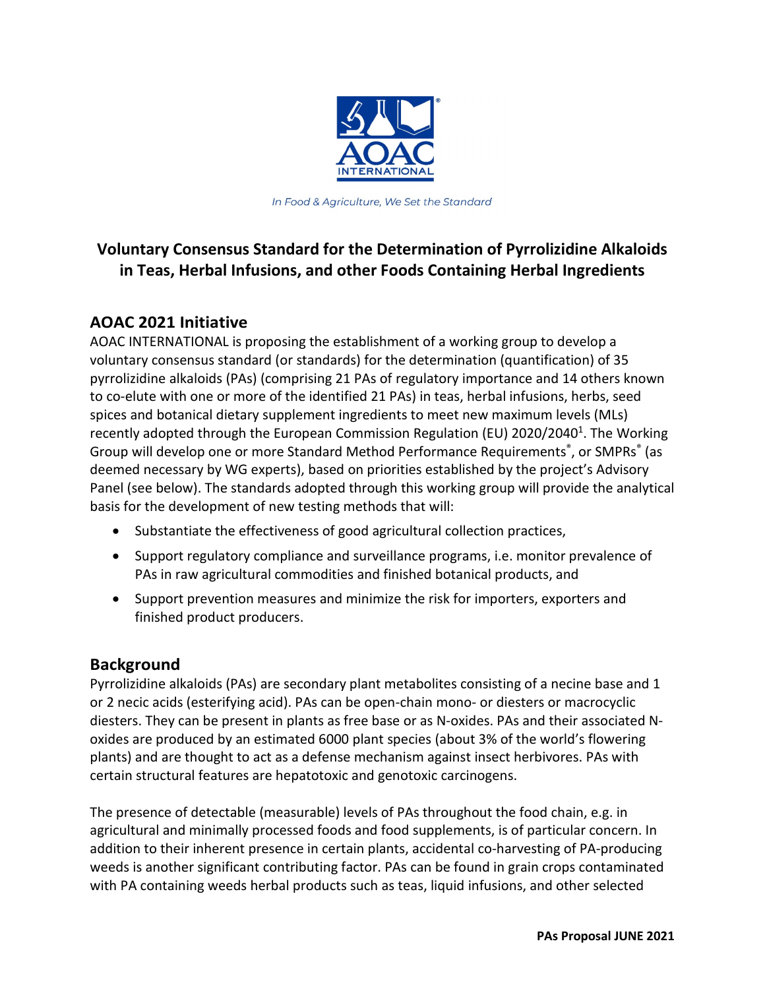

In Food & Agriculture, We Set the Standard

# **Voluntary Consensus Standard for the Determination of Pyrrolizidine Alkaloids in Teas, Herbal Infusions, and other Foods Containing Herbal Ingredients**

## **AOAC 2021 Initiative**

AOAC INTERNATIONAL is proposing the establishment of a working group to develop a voluntary consensus standard (or standards) for the determination (quantification) of 35 pyrrolizidine alkaloids (PAs) (comprising 21 PAs of regulatory importance and 14 others known to co-elute with one or more of the identified 21 PAs) in teas, herbal infusions, herbs, seed spices and botanical dietary supplement ingredients to meet new maximum levels (MLs) recently adopted through the European Commission Regulation (EU) 2020/2040<sup>1</sup>. The Working Group will develop one or more Standard Method Performance Requirements<sup>®</sup>, or SMPRs<sup>®</sup> (as deemed necessary by WG experts), based on priorities established by the project's Advisory Panel (see below). The standards adopted through this working group will provide the analytical basis for the development of new testing methods that will:

- Substantiate the effectiveness of good agricultural collection practices,
- Support regulatory compliance and surveillance programs, i.e. monitor prevalence of PAs in raw agricultural commodities and finished botanical products, and
- Support prevention measures and minimize the risk for importers, exporters and finished product producers.

## **Background**

Pyrrolizidine alkaloids (PAs) are secondary plant metabolites consisting of a necine base and 1 or 2 necic acids (esterifying acid). PAs can be open-chain mono- or diesters or macrocyclic diesters. They can be present in plants as free base or as N-oxides. PAs and their associated Noxides are produced by an estimated 6000 plant species (about 3% of the world's flowering plants) and are thought to act as a defense mechanism against insect herbivores. PAs with certain structural features are hepatotoxic and genotoxic carcinogens.

The presence of detectable (measurable) levels of PAs throughout the food chain, e.g. in agricultural and minimally processed foods and food supplements, is of particular concern. In addition to their inherent presence in certain plants, accidental co-harvesting of PA-producing weeds is another significant contributing factor. PAs can be found in grain crops contaminated with PA containing weeds herbal products such as teas, liquid infusions, and other selected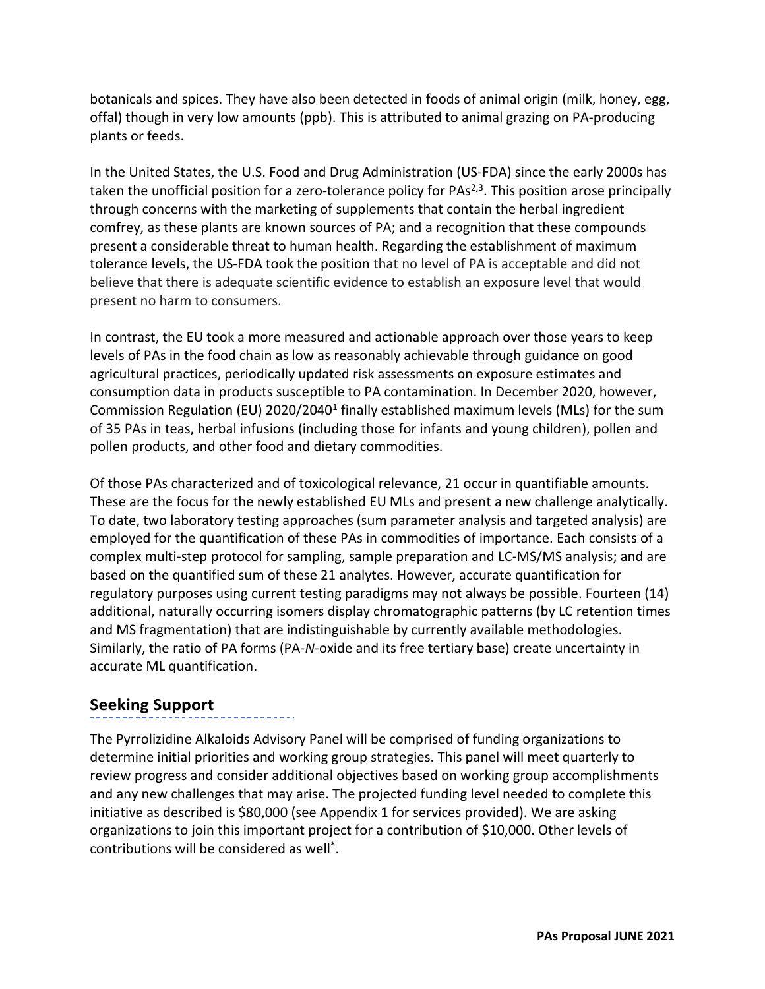botanicals and spices. They have also been detected in foods of animal origin (milk, honey, egg, offal) though in very low amounts (ppb). This is attributed to animal grazing on PA-producing plants or feeds.

In the United States, the U.S. Food and Drug Administration (US-FDA) since the early 2000s has taken the unofficial position for a zero-tolerance policy for PAs<sup>2,3</sup>. This position arose principally through concerns with the marketing of supplements that contain the herbal ingredient comfrey, as these plants are known sources of PA; and a recognition that these compounds present a considerable threat to human health. Regarding the establishment of maximum tolerance levels, the US-FDA took the position that no level of PA is acceptable and did not believe that there is adequate scientific evidence to establish an exposure level that would present no harm to consumers.

In contrast, the EU took a more measured and actionable approach over those years to keep levels of PAs in the food chain as low as reasonably achievable through guidance on good agricultural practices, periodically updated risk assessments on exposure estimates and consumption data in products susceptible to PA contamination. In December 2020, however, Commission Regulation (EU) 2020/20401 finally established maximum levels (MLs) for the sum of 35 PAs in teas, herbal infusions (including those for infants and young children), pollen and pollen products, and other food and dietary commodities.

Of those PAs characterized and of toxicological relevance, 21 occur in quantifiable amounts. These are the focus for the newly established EU MLs and present a new challenge analytically. To date, two laboratory testing approaches (sum parameter analysis and targeted analysis) are employed for the quantification of these PAs in commodities of importance. Each consists of a complex multi-step protocol for sampling, sample preparation and LC-MS/MS analysis; and are based on the quantified sum of these 21 analytes. However, accurate quantification for regulatory purposes using current testing paradigms may not always be possible. Fourteen (14) additional, naturally occurring isomers display chromatographic patterns (by LC retention times and MS fragmentation) that are indistinguishable by currently available methodologies. Similarly, the ratio of PA forms (PA-*N*-oxide and its free tertiary base) create uncertainty in accurate ML quantification.

## **Seeking Support**

The Pyrrolizidine Alkaloids Advisory Panel will be comprised of funding organizations to determine initial priorities and working group strategies. This panel will meet quarterly to review progress and consider additional objectives based on working group accomplishments and any new challenges that may arise. The projected funding level needed to complete this initiative as described is \$80,000 (see Appendix 1 for services provided). We are asking organizations to join this important project for a contribution of \$10,000. Other levels of contributions will be considered as well\*.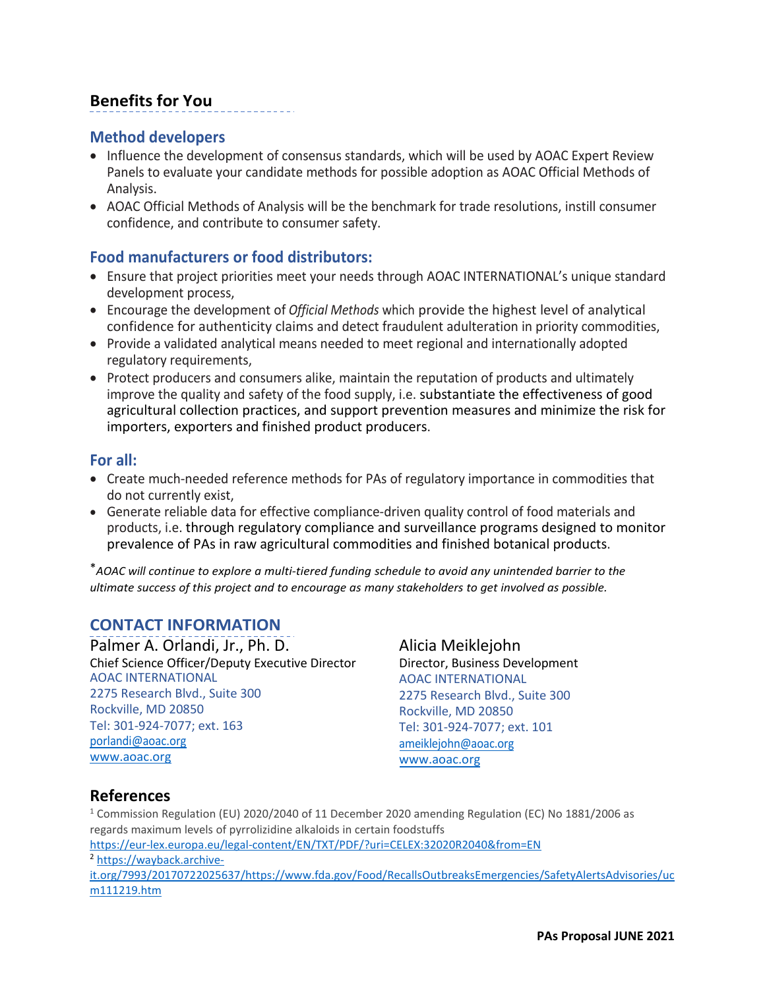## **Benefits for You**

### **Method developers**

- Influence the development of consensus standards, which will be used by AOAC Expert Review Panels to evaluate your candidate methods for possible adoption as AOAC Official Methods of Analysis.
- AOAC Official Methods of Analysis will be the benchmark for trade resolutions, instill consumer confidence, and contribute to consumer safety.

### **Food manufacturers or food distributors:**

- Ensure that project priorities meet your needs through AOAC INTERNATIONAL's unique standard development process,
- Encourage the development of *Official Methods* which provide the highest level of analytical confidence for authenticity claims and detect fraudulent adulteration in priority commodities,
- Provide a validated analytical means needed to meet regional and internationally adopted regulatory requirements,
- Protect producers and consumers alike, maintain the reputation of products and ultimately improve the quality and safety of the food supply, i.e. substantiate the effectiveness of good agricultural collection practices, and support prevention measures and minimize the risk for importers, exporters and finished product producers.

#### **For all:**

- Create much-needed reference methods for PAs of regulatory importance in commodities that do not currently exist,
- Generate reliable data for effective compliance-driven quality control of food materials and products, i.e. through regulatory compliance and surveillance programs designed to monitor prevalence of PAs in raw agricultural commodities and finished botanical products.

\**AOAC will continue to explore a multi-tiered funding schedule to avoid any unintended barrier to the ultimate success of this project and to encourage as many stakeholders to get involved as possible.*

## **CONTACT INFORMATION**

Palmer A. Orlandi, Jr., Ph. D. Chief Science Officer/Deputy Executive Director AOAC INTERNATIONAL 2275 Research Blvd., Suite 300 Rockville, MD 20850 Tel: 301-924-7077; ext. 163 [porlandi@aoac.org](mailto:porlandi@aoac.org) [www.aoac.org](http://www.aoac.org/) 

Alicia Meiklejohn Director, Business Development AOAC INTERNATIONAL 2275 Research Blvd., Suite 300 Rockville, MD 20850 Tel: 301-924-7077; ext. 101 [ameiklejohn@aoac.org](mailto:ameiklejohnrlandi@aoac.org) [www.aoac.org](http://www.aoac.org/)

## **References**

<sup>1</sup> Commission Regulation (EU) 2020/2040 of 11 December 2020 amending Regulation (EC) No 1881/2006 as regards maximum levels of pyrrolizidine alkaloids in certain foodstuffs

https://eur-lex.europa.eu/legal-content/EN/TXT/PDF/?uri=CELEX:3[2](https://wayback.archive-it.org/7993/20170722025637/https:/www.fda.gov/Food/RecallsOutbreaksEmergencies/SafetyAlertsAdvisories/ucm111219.htm)020R2040&from=EN<br><sup>2</sup> https://wayback.archive-

[it.org/7993/20170722025637/https://www.fda.gov/Food/RecallsOutbreaksEmergencies/SafetyAlertsAdvisories/uc](https://wayback.archive-it.org/7993/20170722025637/https:/www.fda.gov/Food/RecallsOutbreaksEmergencies/SafetyAlertsAdvisories/ucm111219.htm) [m111219.htm](https://wayback.archive-it.org/7993/20170722025637/https:/www.fda.gov/Food/RecallsOutbreaksEmergencies/SafetyAlertsAdvisories/ucm111219.htm)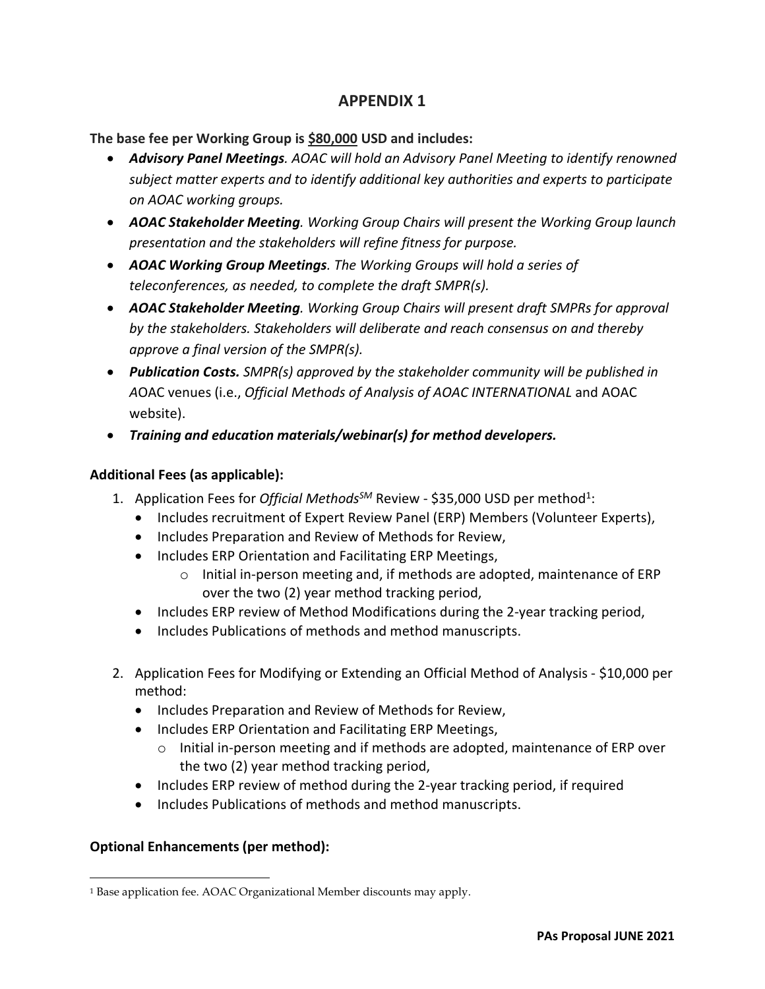## **APPENDIX 1**

**The base fee per Working Group is \$80,000 USD and includes:**

- *Advisory Panel Meetings. AOAC will hold an Advisory Panel Meeting to identify renowned subject matter experts and to identify additional key authorities and experts to participate on AOAC working groups.*
- *AOAC Stakeholder Meeting. Working Group Chairs will present the Working Group launch presentation and the stakeholders will refine fitness for purpose.*
- *AOAC Working Group Meetings. The Working Groups will hold a series of teleconferences, as needed, to complete the draft SMPR(s).*
- *AOAC Stakeholder Meeting. Working Group Chairs will present draft SMPRs for approval by the stakeholders. Stakeholders will deliberate and reach consensus on and thereby approve a final version of the SMPR(s).*
- *Publication Costs. SMPR(s) approved by the stakeholder community will be published in A*OAC venues (i.e., *Official Methods of Analysis of AOAC INTERNATIONAL* and AOAC website).
- *Training and education materials/webinar(s) for method developers.*

#### **Additional Fees (as applicable):**

- [1](#page-3-0). Application Fees for *Official Methods<sup>SM</sup>* Review \$35,000 USD per method<sup>1</sup>:
	- Includes recruitment of Expert Review Panel (ERP) Members (Volunteer Experts),
	- Includes Preparation and Review of Methods for Review,
	- Includes ERP Orientation and Facilitating ERP Meetings,
		- $\circ$  Initial in-person meeting and, if methods are adopted, maintenance of ERP over the two (2) year method tracking period,
	- Includes ERP review of Method Modifications during the 2-year tracking period,
	- Includes Publications of methods and method manuscripts.
- 2. Application Fees for Modifying or Extending an Official Method of Analysis \$10,000 per method:
	- Includes Preparation and Review of Methods for Review,
	- Includes ERP Orientation and Facilitating ERP Meetings,
		- o Initial in-person meeting and if methods are adopted, maintenance of ERP over the two (2) year method tracking period,
	- Includes ERP review of method during the 2-year tracking period, if required
	- Includes Publications of methods and method manuscripts.

#### **Optional Enhancements (per method):**

<span id="page-3-0"></span><sup>1</sup> Base application fee. AOAC Organizational Member discounts may apply.